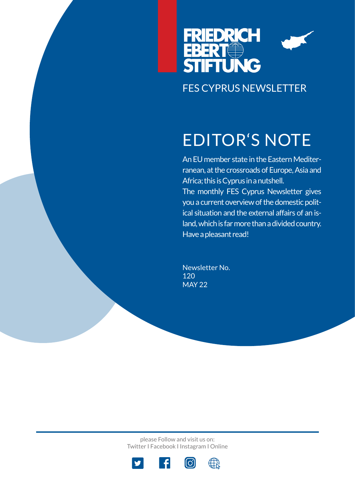

# EDITOR'S NOTE

An EU member state in the Eastern Mediterranean, at the crossroads of Europe, Asia and Africa; this is Cyprus in a nutshell. The monthly FES Cyprus Newsletter gives you a current overview of the domestic political situation and the external affairs of an island, which is far more than a divided country. Have a pleasant read!

Newsletter No. 120 MAY 22

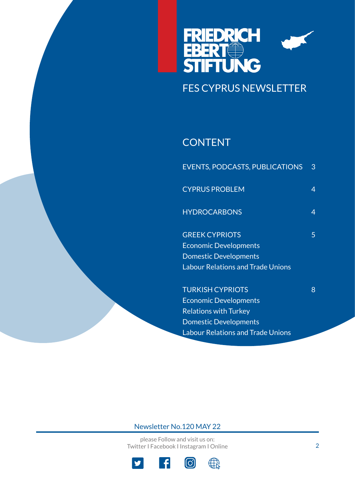

## **CONTENT**

| <b>EVENTS, PODCASTS, PUBLICATIONS</b>    | 3 |
|------------------------------------------|---|
| <b>CYPRUS PROBLEM</b>                    | 4 |
| <b>HYDROCARBONS</b>                      | 4 |
| <b>GREEK CYPRIOTS</b>                    | 5 |
| <b>Economic Developments</b>             |   |
| <b>Domestic Developments</b>             |   |
| <b>Labour Relations and Trade Unions</b> |   |
| <b>TURKISH CYPRIOTS</b>                  | 8 |
| <b>Economic Developments</b>             |   |
| <b>Relations with Turkey</b>             |   |
| <b>Domestic Developments</b>             |   |

Labour Relations and Trade Unions

### Newsletter No.120 MAY 22

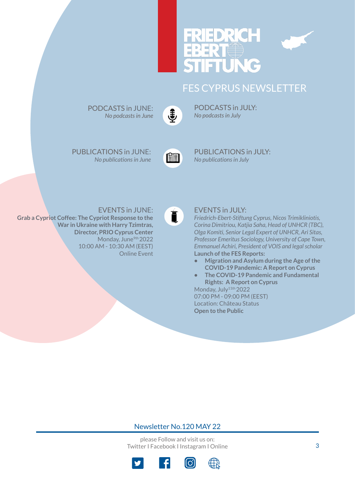# DR E



## FES CYPRUS NEWSLETTER



PODCASTS in JULY: *No podcasts in July*

PUBLICATIONS in JUNE: *No publications in June*

PODCASTS in JUNE: *No podcasts in June*



[P](https://www.fescyprus.org/publications/)UBLICATIONS in JULY: *No publications in July*

### EVENTS in JUNE:

**Grab a Cypriot Coffee: The Cypriot Response to the War in Ukraine with Harry Tzimtras, Director, PRIO Cyprus Center** Monday, June<sup>9th</sup> 2022 10:00 AM - 10:30 AM (EES[T\)](https://www.fescyprus.org/events/)  Online Event



### EVENTS in JULY:

*Friedrich-Ebert-Stiftung Cyprus, Nicos Trimikliniotis, Corina Dimitriou, Katjia Saha, Head of UNHCR (TBC), Olga Komiti, Senior Legal Expert of UNHCR, Ari Sitas, Professor Emeritus Sociology, University of Cape Town, Emmanuel Achiri, President of VOIS and legal scholar* **Launch of the FES Reports:** 

- **• Migration and Asylum during the Age of the COVID-19 Pandemic: A Report on Cyprus**
- **• The COVID-19 Pandemic and Fundamental Rights: A Report on Cyprus**

Monday, July<sup>11th</sup> 2022 07:00 PM - 09:00 PM (EEST) Location: Château Status **Open to the Public**

### Newsletter No.120 MAY 22

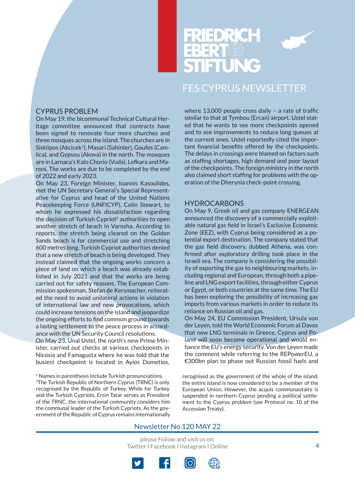

### CYPRUS PROBLEM

On May 19, the bicommunal Technical Cultural Heritage committee announced that contracts have been signed to renovate four more churches and three mosques across the island. The churches are in Sisklipos (Akcicek<sup>1</sup>), Masari (Sahinler), Goufes (Camlica), and Gypsou (Akova) in the north. The mosques are in Larnaca's Kalo Chorio (Vuda), Lefkara and Maroni. The works are due to be completed by the end of 2022 and early 2023.

On May 23, Foreign Minister, Ioannis Kasoulides, met the UN Secretary General's Special Representative for Cyprus and head of the United Nations Peacekeeping Force (UNFICYP), Colin Stewart, to whom he expressed his dissatisfaction regarding the decision of Turkish Cypriot<sup>2</sup> authorities to open another stretch of beach in Varosha. According to reports, the stretch being cleared on the Golden Sands beach is for commercial use and stretching 600 metres long. Turkish Cypriot authorities denied that a new stretch of beach is being developed. They instead claimed that the ongoing works concern a piece of land on which a beach was already established in July 2021 and that the works are being carried out for safety reasons. The European Commission spokesman, Stefan de Kersmacher, reiterated the need to avoid unilateral actions in violation of international law and new provocations, which could increase tensions on the island and jeopardize the ongoing efforts to find common ground towards a lasting settlement to the peace process in accordance with the UN Security Council resolutions. On May 23, Unal Ustel, the north's new Prime Minister, carried out checks at various checkpoints in Nicosia and Famagusta where he was told that the busiest checkpoint is located in Ayios Dometios,

<sup>1</sup> Names in parenthesis include Turkish pronunciations. 2The Turkish Republic of Northern Cyprus (TRNC) is only recognised by the Republic of Turkey. While for Turkey and the Turkish Cypriots, Ersin Tatar serves as President of the TRNC, the international community considers him the communal leader of the Turkish Cypriots. As the government of the Republic of Cyprus remains internationally

where 13,000 people cross daily – a rate of traffic similar to that at Tymbou (Ercan) airport. Ustel stated that he wants to see more checkpoints opened and to see improvements to reduce long queues at the current ones. Ustel reportedly cited the important financial benefits offered by the checkpoints. The delays in crossings were blamed on factors such as staffing shortages, high demand and poor layout of the checkpoints. The foreign ministry in the north also claimed short staffing for problems with the operation of the Dherynia check-point crossing.

#### **HYDROCARBONS**

On May 9, Greek oil and gas company ENERGEAN announced the discovery of a commercially exploitable natural gas field in Israel's Exclusive Economic Zone (EEZ), with Cyprus being considered as a potential export destination. The company stated that the gas field discovery, dubbed Athena, was confirmed after exploratory drilling took place in the Israeli sea. The company is considering the possibility of exporting the gas to neighbouring markets, including regional and European, through both a pipeline and LNG export facilities, through either Cyprus or Egypt, or both countries at the same time. The EU has been exploring the possibility of increasing gas imports from various markets in order to reduce its reliance on Russian oil and gas.

On May 24, EU Commission President, Ursula von der Leyen, told the World Economic Forum at Davos that new LNG terminals in Greece, Cyprus and Poland will soon become operational and would enhance the EU's energy security. Von der Leyen made the comment while referring to the REPowerEU, a €300bn plan to phase out Russian fossil fuels and

recognised as the government of the whole of the island, the entire island is now considered to be a member of the European Union. However, the acquis communautaire is suspended in northern Cyprus pending a political settlement to the Cyprus problem (see Protocol no. 10 of the Accession Treaty).

### Newsletter No.120 MAY 22

![](_page_3_Picture_14.jpeg)

![](_page_3_Picture_15.jpeg)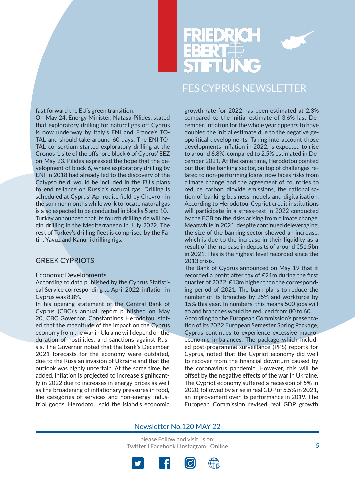![](_page_4_Picture_0.jpeg)

#### fast forward the EU's green transition.

On May 24, Energy Minister, Natasa Pilides, stated that exploratory drilling for natural gas off Cyprus is now underway by Italy's ENI and France's TO-TAL and should take around 60 days. The ENI-TO-TAL consortium started exploratory drilling at the Cronos-1 site of the offshore block 6 of Cyprus' EEZ on May 23. Pilides expressed the hope that the development of block 6, where exploratory drilling by ENI in 2018 had already led to the discovery of the Calypso field, would be included in the EU's plans to end reliance on Russia's natural gas. Drilling is scheduled at Cyprus' Aphrodite field by Chevron in the summer months while work to locate natural gas is also expected to be conducted in blocks 5 and 10. Turkey announced that its fourth drilling rig will begin drilling in the Mediterranean in July 2022. The rest of Turkey's drilling fleet is comprised by the Fatih, Yavuz and Kanuni drilling rigs.

#### GREEK CYPRIOTS

#### Economic Developments

According to data published by the Cyprus Statistical Service corresponding to April 2022, inflation in Cyprus was 8.8%.

In his opening statement of the Central Bank of Cyprus (CBC)'s annual report published on May 20, CBC Governor, Constantinos Herodotou, stated that the magnitude of the impact on the Cyprus economy from the war in Ukraine will depend on the duration of hostilities, and sanctions against Russia. The Governor noted that the bank's December 2021 forecasts for the economy were outdated, due to the Russian invasion of Ukraine and that the outlook was highly uncertain. At the same time, he added, inflation is projected to increase significantly in 2022 due to increases in energy prices as well as the broadening of inflationary pressures in food, the categories of services and non-energy industrial goods. Herodotou said the island's economic

growth rate for 2022 has been estimated at 2.3% compared to the initial estimate of 3.6% last December. Inflation for the whole year appears to have doubled the initial estimate due to the negative geopolitical developments. Taking into account those developments inflation in 2022, is expected to rise to around 6.8%, compared to 2.5% estimated in December 2021. At the same time, Herodotou pointed out that the banking sector, on top of challenges related to non-performing loans, now faces risks from climate change and the agreement of countries to reduce carbon dioxide emissions, the rationalisation of banking business models and digitalisation. According to Herodotou, Cypriot credit institutions will participate in a stress-test in 2022 conducted by the ECB on the risks arising from climate change. Meanwhile in 2021, despite continued deleveraging, the size of the banking sector showed an increase, which is due to the increase in their liquidity as a result of the increase in deposits of around €51.5bn in 2021. This is the highest level recorded since the 2013 crisis.

The Bank of Cyprus announced on May 19 that it recorded a profit after tax of €21m during the first quarter of 2022, €13m higher than the corresponding period of 2021. The bank plans to reduce the number of its branches by 25% and workforce by 15% this year. In numbers, this means 500 jobs will go and branches would be reduced from 80 to 60. According to the European Commission's presentation of its 2022 European Semester Spring Package, Cyprus continues to experience excessive macroeconomic imbalances. The package which included post-programme surveillance (PPS) reports for Cyprus, noted that the Cypriot economy did well to recover from the financial downturn caused by the coronavirus pandemic. However, this will be offset by the negative effects of the war in Ukraine. The Cypriot economy suffered a recession of 5% in 2020, followed by a rise in real GDP of 5.5% in 2021, an improvement over its performance in 2019. The European Commission revised real GDP growth

#### Newsletter No.120 MAY 22

![](_page_4_Picture_13.jpeg)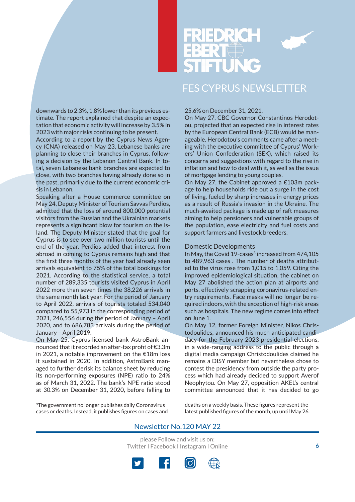downwards to 2.3%, 1.8% lower than its previous estimate. The report explained that despite an expectation that economic activity will increase by 3.5% in 2023 with major risks continuing to be present.

According to a report by the Cyprus News Agency (CNA) released on May 23, Lebanese banks are planning to close their branches in Cyprus, following a decision by the Lebanon Central Bank. In total, seven Lebanese bank branches are expected to close, with two branches having already done so in the past, primarily due to the current economic crisis in Lebanon.

Speaking after a House commerce committee on May 24, Deputy Minister of Tourism Savvas Perdios, admitted that the loss of around 800,000 potential visitors from the Russian and the Ukrainian markets represents a significant blow for tourism on the island. The Deputy Minister stated that the goal for Cyprus is to see over two million tourists until the end of the year. Perdios added that interest from abroad in coming to Cyprus remains high and that the first three months of the year had already seen arrivals equivalent to 75% of the total bookings for 2021. According to the statistical service, a total number of 289,335 tourists visited Cyprus in April 2022 more than seven times the 38,226 arrivals in the same month last year. For the period of January to April 2022, arrivals of tourists totaled 534,040 compared to 55,973 in the corresponding period of 2021, 246,556 during the period of January – April 2020, and to 686,783 arrivals during the period of January – April 2019.

On May 25, Cyprus-licensed bank AstroBank announced that it recorded an after-tax profit of €3.3m in 2021, a notable improvement on the €18m loss it sustained in 2020. In addition, AstroBank managed to further derisk its balance sheet by reducing its non-performing exposures (NPE) ratio to 24% as of March 31, 2022. The bank's NPE ratio stood at 30.3% on December 31, 2020, before falling to

3The government no longer publishes daily Coronavirus cases or deaths. Instead, it publishes figures on cases and

#### 25.6% on December 31, 2021.

On May 27, CBC Governor Constantinos Herodotou, projected that an expected rise in interest rates by the European Central Bank (ECB) would be manageable. Herodotou's comments came after a meeting with the executive committee of Cyprus' Workers' Union Confederation (SEK), which raised its concerns and suggestions with regard to the rise in inflation and how to deal with it, as well as the issue of mortgage lending to young couples.

On May 27, the Cabinet approved a €103m package to help households ride out a surge in the cost of living, fueled by sharp increases in energy prices as a result of Russia's invasion in the Ukraine. The much-awaited package is made up of raft measures aiming to help pensioners and vulnerable groups of the population, ease electricity and fuel costs and support farmers and livestock breeders.

#### Domestic Developments

In May, the Covid 19-cases<sup>3</sup> increased from 474,105 to 489,963 cases . The number of deaths attributed to the virus rose from 1,015 to 1,059. Citing the improved epidemiological situation, the cabinet on May 27 abolished the action plan at airports and ports, effectively scrapping coronavirus-related entry requirements. Face masks will no longer be required indoors, with the exception of high-risk areas such as hospitals. The new regime comes into effect on June 1.

On May 12, former Foreign Minister, Nikos Christodoulides, announced his much anticipated candidacy for the February 2023 presidential elections, in a wide-ranging address to the public through a digital media campaign Christodoulides claimed he remains a DISY member but nevertheless chose to contest the presidency from outside the party process which had already decided to support Averof Neophytou. On May 27, opposition AKEL's central committee announced that it has decided to go

deaths on a weekly basis. These figures represent the latest published figures of the month, up until May 26.

#### Newsletter No.120 MAY 22

![](_page_5_Picture_17.jpeg)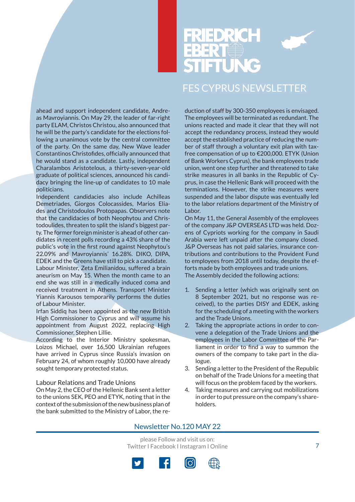![](_page_6_Picture_0.jpeg)

ahead and support independent candidate, Andreas Mavroyiannis. On May 29, the leader of far-right party ELAM, Christos Christou, also announced that he will be the party's candidate for the elections following a unanimous vote by the central committee of the party. On the same day, New Wave leader Constantinos Christofides, officially announced that he would stand as a candidate. Lastly, independent Charalambos Aristotelous, a thirty-seven-year-old graduate of political sciences, announced his candidacy bringing the line-up of candidates to 10 male politicians.

Independent candidacies also include Achilleas Demetriades, Giorgos Colocassides, Marios Eliades and Christodoulos Protopapas. Observers note that the candidacies of both Neophytou and Christodoulides, threaten to split the island's biggest party. The former foreign minister is ahead of other candidates in recent polls recording a 43% share of the public's vote in the first round against Neophytou's 22.09% and Mavroyiannis' 16.28%. DIKO, DIPA, EDEK and the Greens have still to pick a candidate.

Labour Minister, Zeta Emilianidou, suffered a brain aneurism on May 15. When the month came to an end she was still in a medically induced coma and received treatment in Athens. Transport Minister Yiannis Karousos temporarily performs the duties of Labour Minister.

Irfan Siddiq has been appointed as the new British High Commissioner to Cyprus and will assume his appointment from August 2022, replacing High Commissioner, Stephen Lillie.

According to the Interior Ministry spokesman, Loizos Michael, over 16,500 Ukrainian refugees have arrived in Cyprus since Russia's invasion on February 24, of whom roughly 10,000 have already sought temporary protected status.

#### Labour Relations and Trade Unions

On May 2, the CEO of the Hellenic Bank sent a letter to the unions SEK, PEO and ETYK, noting that in the context of the submission of the new business plan of the bank submitted to the Ministry of Labor, the reduction of staff by 300-350 employees is envisaged. The employees will be terminated as redundant. The unions reacted and made it clear that they will not accept the redundancy process, instead they would accept the established practice of reducing the number of staff through a voluntary exit plan with taxfree compensation of up to €200,000. ETYK (Union of Bank Workers Cyprus), the bank employees trade union, went one step further and threatened to take strike measures in all banks in the Republic of Cyprus, in case the Hellenic Bank will proceed with the terminations. However, the strike measures were suspended and the labor dispute was eventually led to the labor relations department of the Ministry of Labor.

On May 11, the General Assembly of the employees of the company J&P OVERSEAS LTD was held. Dozens of Cypriots working for the company in Saudi Arabia were left unpaid after the company closed. J&P Overseas has not paid salaries, insurance contributions and contributions to the Provident Fund to employees from 2018 until today, despite the efforts made by both employees and trade unions. The Assembly decided the following actions:

- 1. Sending a letter (which was originally sent on 8 September 2021, but no response was received), to the parties DISY and EDEK, asking for the scheduling of a meeting with the workers and the Trade Unions.
- 2. Taking the appropriate actions in order to convene a delegation of the Trade Unions and the employees in the Labor Committee of the Parliament in order to find a way to summon the owners of the company to take part in the dialogue.
- 3. Sending a letter to the President of the Republic on behalf of the Trade Unions for a meeting that will focus on the problem faced by the workers.
- 4. Taking measures and carrying out mobilizations in order to put pressure on the company's shareholders.

#### Newsletter No.120 MAY 22

![](_page_6_Picture_18.jpeg)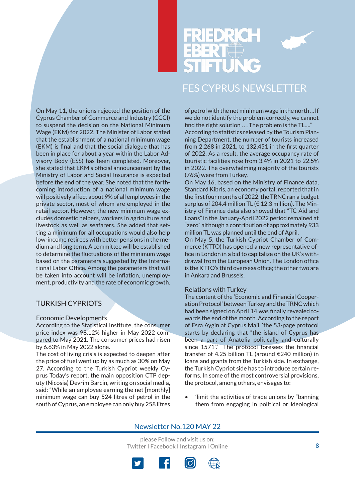![](_page_7_Picture_0.jpeg)

![](_page_7_Picture_1.jpeg)

On May 11, the unions rejected the position of the Cyprus Chamber of Commerce and Industry (CCCI) to suspend the decision on the National Minimum Wage (EKM) for 2022. The Minister of Labor stated that the establishment of a national minimum wage (EKM) is final and that the social dialogue that has been in place for about a year within the Labor Advisory Body (ESS) has been completed. Moreover, she stated that EKM's official announcement by the Ministry of Labor and Social Insurance is expected before the end of the year. She noted that the forthcoming introduction of a national minimum wage will positively affect about 9% of all employees in the private sector, most of whom are employed in the retail sector. However, the new minimum wage excludes domestic helpers, workers in agriculture and livestock as well as seafarers. She added that setting a minimum for all occupations would also help low-income retirees with better pensions in the medium and long term. A committee will be established to determine the fluctuations of the minimum wage based on the parameters suggested by the International Labor Office. Among the parameters that will be taken into account will be inflation, unemployment, productivity and the rate of economic growth.

### TURKISH CYPRIOTS

#### Economic Developments

According to the Statistical Institute, the consumer price index was 98.12% higher in May 2022 compared to May 2021. The consumer prices had risen by 6.63% in May 2022 alone.

The cost of living crisis is expected to deepen after the price of fuel went up by as much as 30% on May 27. According to the Turkish Cypriot weekly Cyprus Today's report, the main opposition CTP deputy (Nicosia) Devrim Barcin, writing on social media, said: "While an employee earning the net [monthly] minimum wage can buy 524 litres of petrol in the south of Cyprus, an employee can only buy 258 litres

of petrol with the net minimum wage in the north ... If we do not identify the problem correctly, we cannot find the right solution . . . The problem is the TL…." According to statistics released by the Tourism Planning Department, the number of tourists increased from 2,268 in 2021, to 132,451 in the first quarter of 2022. As a result, the average occupancy rate of touristic facilities rose from 3.4% in 2021 to 22.5% in 2022. The overwhelming majority of the tourists (76%) were from Turkey.

On May 16, based on the Ministry of Finance data, Standard Kibris, an economy portal, reported that in the first four months of 2022, the TRNC ran a budget surplus of 204.4 million TL (€ 12.3 million). The Ministry of Finance data also showed that "TC Aid and Loans" in the January-April 2022 period remained at "zero" although a contribution of approximately 933 million TL was planned until the end of April.

On May 5, the Turkish Cypriot Chamber of Commerce (KTTO) has opened a new representative office in London in a bid to capitalize on the UK's withdrawal from the European Union. The London office is the KTTO's third overseas office; the other two are in Ankara and Brussels.

#### Relations with Turkey

The content of the 'Economic and Financial Cooperation Protocol' between Turkey and the TRNC which had been signed on April 14 was finally revealed towards the end of the month. According to the report of Esra Aygin at Cyprus Mail, 'the 53-page protocol starts by declaring that "the island of Cyprus has been a part of Anatolia politically and culturally since 1571". The protocol foresees the financial transfer of 4.25 billion TL (around €240 million) in loans and grants from the Turkish side. In exchange, the Turkish Cypriot side has to introduce certain reforms. In some of the most controversial provisions, the protocol, among others, envisages to:

• 'limit the activities of trade unions by "banning them from engaging in political or ideological

#### Newsletter No.120 MAY 22

![](_page_7_Picture_15.jpeg)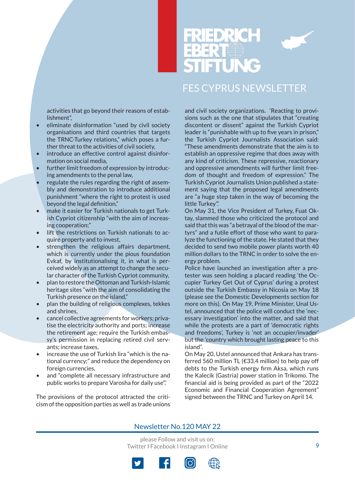![](_page_8_Picture_1.jpeg)

activities that go beyond their reasons of establishment",

- eliminate disinformation "used by civil society organisations and third countries that targets the TRNC-Turkey relations," which poses a further threat to the activities of civil society,
- introduce an effective control against disinformation on social media,
- further limit freedom of expression by introducing amendments to the penal law,
- regulate the rules regarding the right of assembly and demonstration to introduce additional punishment "where the right to protest is used beyond the legal definition,"
- make it easier for Turkish nationals to get Turkish Cypriot citizenship "with the aim of increasing cooperation;"
- lift the restrictions on Turkish nationals to acquire property and to invest,
- strengthen the religious affairs department, which is currently under the pious foundation Evkaf, by institutionalising it, in what is perceived widely as an attempt to change the secular character of the Turkish Cypriot community,
- plan to restore the Ottoman and Turkish-Islamic heritage sites "with the aim of consolidating the Turkish presence on the island,"
- plan the building of religious complexes, tekkes and shrines,
- cancel collective agreements for workers; privatise the electricity authority and ports; increase the retirement age; require the Turkish embassy's permission in replacing retired civil servants; increase taxes,
- increase the use of Turkish lira "which is the national currency;" and reduce the dependency on foreign currencies,
- and "complete all necessary infrastructure and public works to prepare Varosha for daily use".'

The provisions of the protocol attracted the criticism of the opposition parties as well as trade unions and civil society organizations. 'Reacting to provisions such as the one that stipulates that "creating discontent or dissent" against the Turkish Cypriot leader is "punishable with up to five years in prison," the Turkish Cypriot Journalists Association said: "These amendments demonstrate that the aim is to establish an oppressive regime that does away with any kind of criticism. These repressive, reactionary and oppressive amendments will further limit freedom of thought and freedom of expression." The Turkish Cypriot Journalists Union published a statement saying that the proposed legal amendments are "a huge step taken in the way of becoming the little Turkey".'

On May 31, the Vice President of Turkey, Fuat Oktay, slammed those who criticized the protocol and said that this was "a betrayal of the blood of the martyrs" and a futile effort of those who want to paralyze the functioning of the state. He stated that they decided to send two mobile power plants worth 40 million dollars to the TRNC in order to solve the energy problem.

Police have launched an investigation after a protester was seen holding a placard reading 'the Occupier Turkey Get Out of Cyprus' during a protest outside the Turkish Embassy in Nicosia on May 18 (please see the Domestic Developments section for more on this). On May 19, Prime Minister, Unal Ustel, announced that the police will conduct the 'necessary investigation' into the matter, and said that while the protests are a part of 'democratic rights and freedoms', Turkey is 'not an occupier/invader' but the 'country which brought lasting peace to this island".

On May 20, Ustel announced that Ankara has transferred 560 million TL (€33.4 million) to help pay off debts to the Turkish energy firm Aksa, which runs the Kalecik (Gastria) power station in Trikomo. The financial aid is being provided as part of the "2022 Economic and Financial Cooperation Agreement" signed between the TRNC and Turkey on April 14.

#### Newsletter No.120 MAY 22

![](_page_8_Picture_23.jpeg)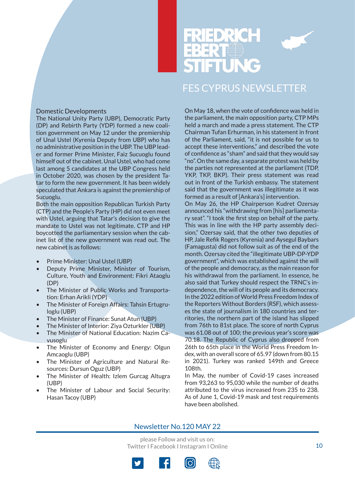![](_page_9_Picture_0.jpeg)

![](_page_9_Picture_1.jpeg)

#### Domestic Developments

The National Unity Party (UBP), Democratic Party (DP) and Rebirth Party (YDP) formed a new coalition government on May 12 under the premiership of Unal Ustel (Kyrenia Deputy from UBP) who has no administrative position in the UBP. The UBP leader and former Prime Minister, Faiz Sucuoglu found himself out of the cabinet. Unal Ustel, who had come last among 5 candidates at the UBP Congress held in October 2020, was chosen by the president Tatar to form the new government. It has been widely speculated that Ankara is against the premiership of Sucuoglu.

Both the main opposition Republican Turkish Party (CTP) and the People's Party (HP) did not even meet with Ustel, arguing that Tatar's decision to give the mandate to Ustel was not legitimate. CTP and HP boycotted the parliamentary session when the cabinet list of the new government was read out. The new cabinet is as follows:

- Prime Minister: Unal Ustel (UBP)
- Deputy Prime Minister, Minister of Tourism, Culture, Youth and Environment: Fikri Ataoglu (DP)
- The Minister of Public Works and Transportation: Erhan Arikli (YDP)
- The Minister of Foreign Affairs: Tahsin Ertugruloglu (UBP)
- The Minister of Finance: Sunat Atun (UBP)
- The Minister of Interior: Ziya Ozturkler (UBP)
- The Minister of National Education: Nazim Cavusoglu
- The Minister of Economy and Energy: Olgun Amcaoglu (UBP)
- The Minister of Agriculture and Natural Resources: Dursun Oguz (UBP)
- The Minister of Health: Izlem Gurcag Altugra (UBP)
- The Minister of Labour and Social Security: Hasan Tacoy (UBP)

On May 18, when the vote of confidence was held in the parliament, the main opposition party, CTP MPs held a march and made a press statement. The CTP Chairman Tufan Erhurman, in his statement in front of the Parliament, said, "it is not possible for us to accept these interventions," and described the vote of confidence as "sham" and said that they would say "no". On the same day, a separate protest was held by the parties not represented at the parliament (TDP, YKP, TKP, BKP). Their press statement was read out in front of the Turkish embassy. The statement said that the government was illegitimate as it was formed as a result of [Ankara's] intervention.

On May 26, the HP Chairperson Kudret Ozersay announced his "withdrawing from [his] parliamentary seat". "I took the first step on behalf of the party. This was in line with the HP party assembly decision," Ozersay said, that the other two deputies of HP, Jale Refik Rogers (Kyrenia) and Aysegul Baybars (Famagusta) did not follow suit as of the end of the month. Ozersay cited the "illegitimate UBP-DP-YDP government", which was established against the will of the people and democracy, as the main reason for his withdrawal from the parliament. In essence, he also said that Turkey should respect the TRNC's independence, the will of its people and its democracy. In the 2022 edition of World Press Freedom Index of the Reporters Without Borders (RSF), which assesses the state of journalism in 180 countries and territories, the northern part of the island has slipped from 76th to 81st place. The score of north Cyprus was 61.08 out of 100; the previous year's score was 70.18. The Republic of Cyprus also dropped from 26th to 65th place in the World Press Freedom Index, with an overall score of 65.97 (down from 80.15 in 2021). Turkey was ranked 149th and Greece 108th.

In May, the number of Covid-19 cases increased from 93,263 to 95,030 while the number of deaths attributed to the virus increased from 235 to 238. As of June 1, Covid-19 mask and test requirements have been abolished.

#### Newsletter No.120 MAY 22

![](_page_9_Picture_22.jpeg)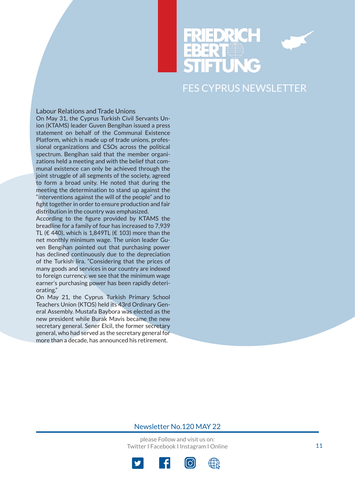![](_page_10_Picture_0.jpeg)

![](_page_10_Picture_1.jpeg)

#### Labour Relations and Trade Unions

On May 31, the Cyprus Turkish Civil Servants Union (KTAMS) leader Guven Bengihan issued a press statement on behalf of the Communal Existence Platform, which is made up of trade unions, professional organizations and CSOs across the political spectrum. Bengihan said that the member organizations held a meeting and with the belief that communal existence can only be achieved through the joint struggle of all segments of the society, agreed to form a broad unity. He noted that during the meeting the determination to stand up against the "interventions against the will of the people" and to fight together in order to ensure production and fair distribution in the country was emphasized.

According to the figure provided by KTAMS the breadline for a family of four has increased to 7,939 TL (€ 440), which is 1,849TL (€ 103) more than the net monthly minimum wage. The union leader Guven Bengihan pointed out that purchasing power has declined continuously due to the depreciation of the Turkish lira. "Considering that the prices of many goods and services in our country are indexed to foreign currency, we see that the minimum wage earner's purchasing power has been rapidly deteriorating."

On May 21, the Cyprus Turkish Primary School Teachers Union (KTOS) held its 43rd Ordinary General Assembly. Mustafa Baybora was elected as the new president while Burak Mavis became the new secretary general. Sener Elcil, the former secretary general, who had served as the secretary general for more than a decade, has announced his retirement.

#### Newsletter No.120 MAY 22

![](_page_10_Picture_9.jpeg)